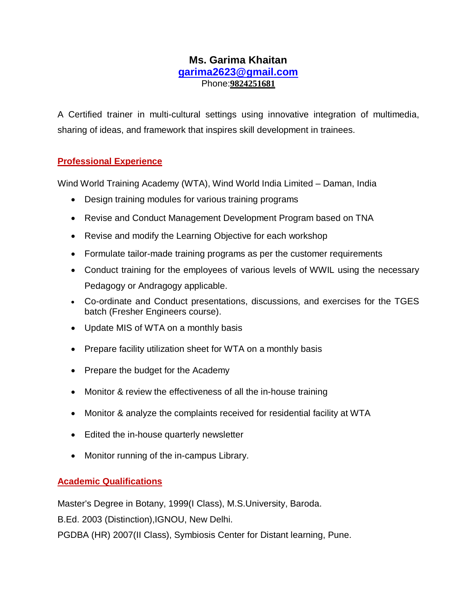# **Ms. Garima Khaitan garima2623@gmail.com** Phone:**9824251681**

A Certified trainer in multi-cultural settings using innovative integration of multimedia, sharing of ideas, and framework that inspires skill development in trainees.

### **Professional Experience**

Wind World Training Academy (WTA), Wind World India Limited – Daman, India

- Design training modules for various training programs
- Revise and Conduct Management Development Program based on TNA
- Revise and modify the Learning Objective for each workshop
- Formulate tailor-made training programs as per the customer requirements
- Conduct training for the employees of various levels of WWIL using the necessary Pedagogy or Andragogy applicable.
- Co-ordinate and Conduct presentations, discussions, and exercises for the TGES batch (Fresher Engineers course).
- Update MIS of WTA on a monthly basis
- Prepare facility utilization sheet for WTA on a monthly basis
- Prepare the budget for the Academy
- Monitor & review the effectiveness of all the in-house training
- Monitor & analyze the complaints received for residential facility at WTA
- Edited the in-house quarterly newsletter
- Monitor running of the in-campus Library.

## **Academic Qualifications**

Master's Degree in Botany, 1999(I Class), M.S.University, Baroda.

B.Ed. 2003 (Distinction),IGNOU, New Delhi.

PGDBA (HR) 2007(II Class), Symbiosis Center for Distant learning, Pune.